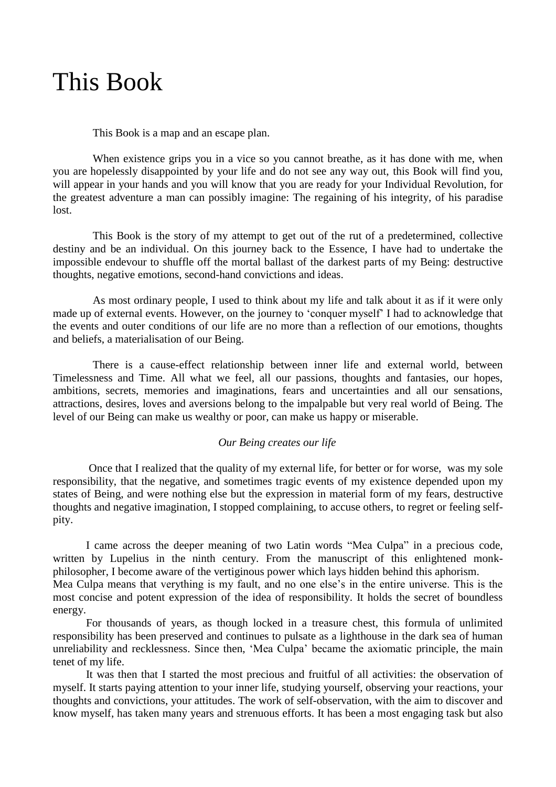## This Book

This Book is a map and an escape plan.

When existence grips you in a vice so you cannot breathe, as it has done with me, when you are hopelessly disappointed by your life and do not see any way out, this Book will find you, will appear in your hands and you will know that you are ready for your Individual Revolution, for the greatest adventure a man can possibly imagine: The regaining of his integrity, of his paradise lost.

This Book is the story of my attempt to get out of the rut of a predetermined, collective destiny and be an individual. On this journey back to the Essence, I have had to undertake the impossible endevour to shuffle off the mortal ballast of the darkest parts of my Being: destructive thoughts, negative emotions, second-hand convictions and ideas.

As most ordinary people, I used to think about my life and talk about it as if it were only made up of external events. However, on the journey to 'conquer myself' I had to acknowledge that the events and outer conditions of our life are no more than a reflection of our emotions, thoughts and beliefs, a materialisation of our Being.

There is a cause-effect relationship between inner life and external world, between Timelessness and Time. All what we feel, all our passions, thoughts and fantasies, our hopes, ambitions, secrets, memories and imaginations, fears and uncertainties and all our sensations, attractions, desires, loves and aversions belong to the impalpable but very real world of Being. The level of our Being can make us wealthy or poor, can make us happy or miserable.

## *Our Being creates our life*

Once that I realized that the quality of my external life, for better or for worse, was my sole responsibility, that the negative, and sometimes tragic events of my existence depended upon my states of Being, and were nothing else but the expression in material form of my fears, destructive thoughts and negative imagination, I stopped complaining, to accuse others, to regret or feeling selfpity.

I came across the deeper meaning of two Latin words "Mea Culpa" in a precious code, written by Lupelius in the ninth century. From the manuscript of this enlightened monkphilosopher, I become aware of the vertiginous power which lays hidden behind this aphorism. Mea Culpa means that verything is my fault, and no one else's in the entire universe. This is the most concise and potent expression of the idea of responsibility. It holds the secret of boundless energy.

For thousands of years, as though locked in a treasure chest, this formula of unlimited responsibility has been preserved and continues to pulsate as a lighthouse in the dark sea of human unreliability and recklessness. Since then, 'Mea Culpa' became the axiomatic principle, the main tenet of my life.

It was then that I started the most precious and fruitful of all activities: the observation of myself. It starts paying attention to your inner life, studying yourself, observing your reactions, your thoughts and convictions, your attitudes. The work of self-observation, with the aim to discover and know myself, has taken many years and strenuous efforts. It has been a most engaging task but also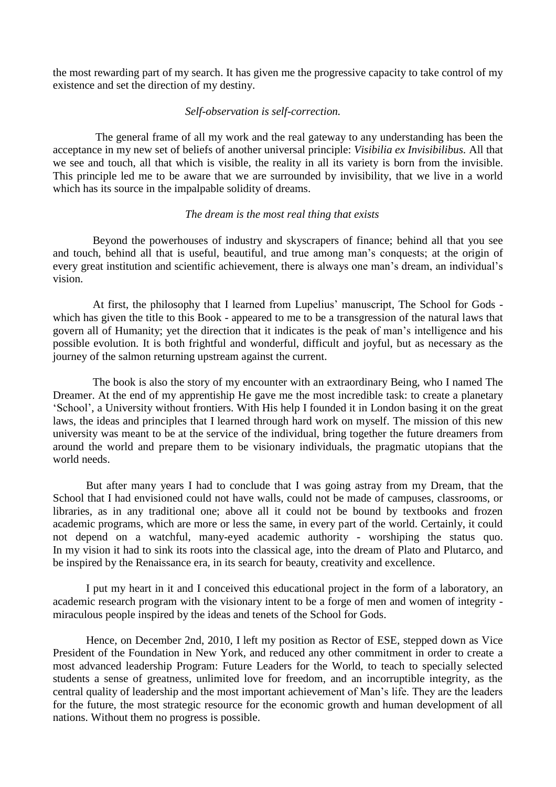the most rewarding part of my search. It has given me the progressive capacity to take control of my existence and set the direction of my destiny.

## *Self-observation is self-correction.*

The general frame of all my work and the real gateway to any understanding has been the acceptance in my new set of beliefs of another universal principle: *Visibilia ex Invisibilibus.* All that we see and touch, all that which is visible, the reality in all its variety is born from the invisible. This principle led me to be aware that we are surrounded by invisibility, that we live in a world which has its source in the impalpable solidity of dreams.

## *The dream is the most real thing that exists*

Beyond the powerhouses of industry and skyscrapers of finance; behind all that you see and touch, behind all that is useful, beautiful, and true among man's conquests; at the origin of every great institution and scientific achievement, there is always one man's dream, an individual's vision.

At first, the philosophy that I learned from Lupelius' manuscript, The School for Gods which has given the title to this Book - appeared to me to be a transgression of the natural laws that govern all of Humanity; yet the direction that it indicates is the peak of man's intelligence and his possible evolution. It is both frightful and wonderful, difficult and joyful, but as necessary as the journey of the salmon returning upstream against the current.

The book is also the story of my encounter with an extraordinary Being, who I named The Dreamer. At the end of my apprentiship He gave me the most incredible task: to create a planetary 'School', a University without frontiers. With His help I founded it in London basing it on the great laws, the ideas and principles that I learned through hard work on myself. The mission of this new university was meant to be at the service of the individual, bring together the future dreamers from around the world and prepare them to be visionary individuals, the pragmatic utopians that the world needs.

But after many years I had to conclude that I was going astray from my Dream, that the School that I had envisioned could not have walls, could not be made of campuses, classrooms, or libraries, as in any traditional one; above all it could not be bound by textbooks and frozen academic programs, which are more or less the same, in every part of the world. Certainly, it could not depend on a watchful, many-eyed academic authority - worshiping the status quo. In my vision it had to sink its roots into the classical age, into the dream of Plato and Plutarco, and be inspired by the Renaissance era, in its search for beauty, creativity and excellence.

I put my heart in it and I conceived this educational project in the form of a laboratory, an academic research program with the visionary intent to be a forge of men and women of integrity miraculous people inspired by the ideas and tenets of the School for Gods.

Hence, on December 2nd, 2010, I left my position as Rector of ESE, stepped down as Vice President of the Foundation in New York, and reduced any other commitment in order to create a most advanced leadership Program: Future Leaders for the World, to teach to specially selected students a sense of greatness, unlimited love for freedom, and an incorruptible integrity, as the central quality of leadership and the most important achievement of Man's life. They are the leaders for the future, the most strategic resource for the economic growth and human development of all nations. Without them no progress is possible.